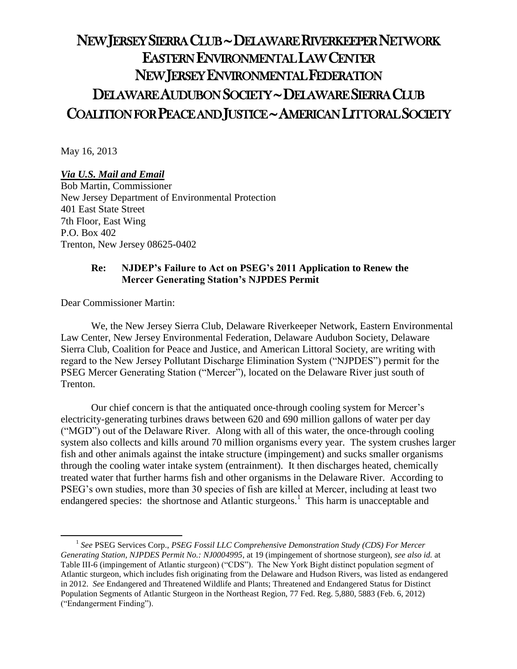# NEW JERSEY SIERRA CLUB ~ DELAWARE RIVERKEEPER NETWORK EASTERN ENVIRONMENTAL LAW CENTER NEW JERSEY ENVIRONMENTAL FEDERATION DELAWARE AUDUBON SOCIETY ~ DELAWARE SIERRA CLUB COALITION FOR PEACE AND JUSTICE ~ AMERICAN LITTORAL SOCIETY

May 16, 2013

## *Via U.S. Mail and Email*

Bob Martin, Commissioner New Jersey Department of Environmental Protection 401 East State Street 7th Floor, East Wing P.O. Box 402 Trenton, New Jersey 08625-0402

### **Re: NJDEP's Failure to Act on PSEG's 2011 Application to Renew the Mercer Generating Station's NJPDES Permit**

Dear Commissioner Martin:

 $\overline{\phantom{a}}$ 

We, the New Jersey Sierra Club, Delaware Riverkeeper Network, Eastern Environmental Law Center, New Jersey Environmental Federation, Delaware Audubon Society, Delaware Sierra Club, Coalition for Peace and Justice, and American Littoral Society, are writing with regard to the New Jersey Pollutant Discharge Elimination System ("NJPDES") permit for the PSEG Mercer Generating Station ("Mercer"), located on the Delaware River just south of Trenton.

Our chief concern is that the antiquated once-through cooling system for Mercer's electricity-generating turbines draws between 620 and 690 million gallons of water per day ("MGD") out of the Delaware River. Along with all of this water, the once-through cooling system also collects and kills around 70 million organisms every year. The system crushes larger fish and other animals against the intake structure (impingement) and sucks smaller organisms through the cooling water intake system (entrainment). It then discharges heated, chemically treated water that further harms fish and other organisms in the Delaware River. According to PSEG's own studies, more than 30 species of fish are killed at Mercer, including at least two endangered species: the shortnose and Atlantic sturgeons.<sup>1</sup> This harm is unacceptable and

<sup>&</sup>lt;sup>1</sup> See PSEG Services Corp., *PSEG Fossil LLC Comprehensive Demonstration Study (CDS) For Mercer Generating Station, NJPDES Permit No.: NJ0004995*, at 19 (impingement of shortnose sturgeon), *see also id.* at Table III-6 (impingement of Atlantic sturgeon) ("CDS"). The New York Bight distinct population segment of Atlantic sturgeon, which includes fish originating from the Delaware and Hudson Rivers, was listed as endangered in 2012. *See* Endangered and Threatened Wildlife and Plants; Threatened and Endangered Status for Distinct Population Segments of Atlantic Sturgeon in the Northeast Region, 77 Fed. Reg. 5,880, 5883 (Feb. 6, 2012) ("Endangerment Finding").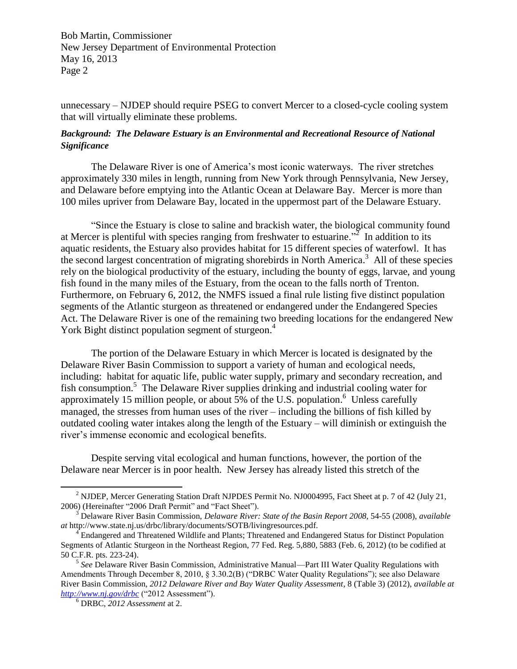unnecessary – NJDEP should require PSEG to convert Mercer to a closed-cycle cooling system that will virtually eliminate these problems.

## *Background: The Delaware Estuary is an Environmental and Recreational Resource of National Significance*

The Delaware River is one of America's most iconic waterways. The river stretches approximately 330 miles in length, running from New York through Pennsylvania, New Jersey, and Delaware before emptying into the Atlantic Ocean at Delaware Bay. Mercer is more than 100 miles upriver from Delaware Bay, located in the uppermost part of the Delaware Estuary.

"Since the Estuary is close to saline and brackish water, the biological community found at Mercer is plentiful with species ranging from freshwater to estuarine.<sup> $\overline{2}$ </sup> In addition to its aquatic residents, the Estuary also provides habitat for 15 different species of waterfowl. It has the second largest concentration of migrating shorebirds in North America. <sup>3</sup> All of these species rely on the biological productivity of the estuary, including the bounty of eggs, larvae, and young fish found in the many miles of the Estuary, from the ocean to the falls north of Trenton. Furthermore, on February 6, 2012, the NMFS issued a final rule listing five distinct population segments of the Atlantic sturgeon as threatened or endangered under the Endangered Species Act. The Delaware River is one of the remaining two breeding locations for the endangered New York Bight distinct population segment of sturgeon.<sup>4</sup>

The portion of the Delaware Estuary in which Mercer is located is designated by the Delaware River Basin Commission to support a variety of human and ecological needs, including: habitat for aquatic life, public water supply, primary and secondary recreation, and fish consumption.<sup>5</sup> The Delaware River supplies drinking and industrial cooling water for approximately 15 million people, or about  $5\%$  of the U.S. population.<sup>6</sup> Unless carefully managed, the stresses from human uses of the river – including the billions of fish killed by outdated cooling water intakes along the length of the Estuary – will diminish or extinguish the river's immense economic and ecological benefits.

Despite serving vital ecological and human functions, however, the portion of the Delaware near Mercer is in poor health. New Jersey has already listed this stretch of the

<sup>&</sup>lt;sup>2</sup> NJDEP, Mercer Generating Station Draft NJPDES Permit No. NJ0004995, Fact Sheet at p. 7 of 42 (July 21, 2006) (Hereinafter "2006 Draft Permit" and "Fact Sheet").

<sup>3</sup> Delaware River Basin Commission, *Delaware River: State of the Basin Report 2008*, 54-55 (2008), *available at* http://www.state.nj.us/drbc/library/documents/SOTB/livingresources.pdf.

<sup>4</sup> Endangered and Threatened Wildlife and Plants; Threatened and Endangered Status for Distinct Population Segments of Atlantic Sturgeon in the Northeast Region, 77 Fed. Reg. 5,880, 5883 (Feb. 6, 2012) (to be codified at 50 C.F.R. pts. 223-24).

<sup>5</sup> *See* Delaware River Basin Commission, Administrative Manual—Part III Water Quality Regulations with Amendments Through December 8, 2010, § 3.30.2(B) ("DRBC Water Quality Regulations"); see also Delaware River Basin Commission, *2012 Delaware River and Bay Water Quality Assessment*, 8 (Table 3) (2012), *available at <http://www.nj.gov/drbc>* ("2012 Assessment").

<sup>6</sup> DRBC, *2012 Assessment* at 2.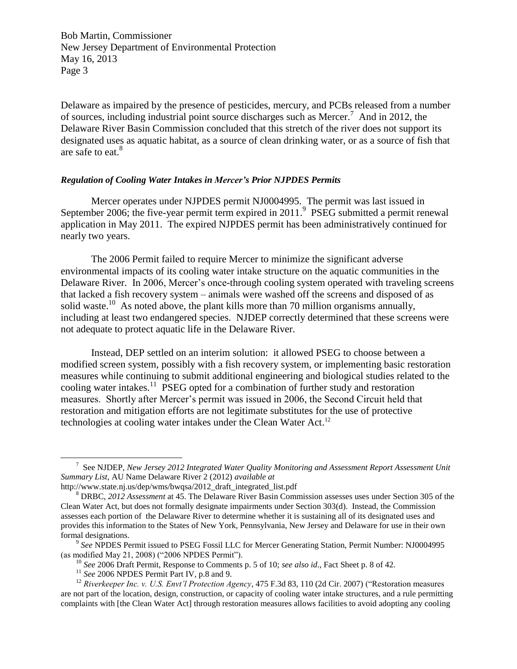Delaware as impaired by the presence of pesticides, mercury, and PCBs released from a number of sources, including industrial point source discharges such as Mercer.<sup>7</sup> And in 2012, the Delaware River Basin Commission concluded that this stretch of the river does not support its designated uses as aquatic habitat, as a source of clean drinking water, or as a source of fish that are safe to eat.<sup>8</sup>

#### *Regulation of Cooling Water Intakes in Mercer's Prior NJPDES Permits*

Mercer operates under NJPDES permit NJ0004995. The permit was last issued in September 2006; the five-year permit term expired in 2011.<sup>9</sup> PSEG submitted a permit renewal application in May 2011. The expired NJPDES permit has been administratively continued for nearly two years.

The 2006 Permit failed to require Mercer to minimize the significant adverse environmental impacts of its cooling water intake structure on the aquatic communities in the Delaware River. In 2006, Mercer's once-through cooling system operated with traveling screens that lacked a fish recovery system – animals were washed off the screens and disposed of as solid waste.<sup>10</sup> As noted above, the plant kills more than 70 million organisms annually, including at least two endangered species. NJDEP correctly determined that these screens were not adequate to protect aquatic life in the Delaware River.

Instead, DEP settled on an interim solution: it allowed PSEG to choose between a modified screen system, possibly with a fish recovery system, or implementing basic restoration measures while continuing to submit additional engineering and biological studies related to the cooling water intakes.<sup>11</sup> PSEG opted for a combination of further study and restoration measures. Shortly after Mercer's permit was issued in 2006, the Second Circuit held that restoration and mitigation efforts are not legitimate substitutes for the use of protective technologies at cooling water intakes under the Clean Water Act.<sup>12</sup>

l

<sup>7</sup> See NJDEP, *New Jersey 2012 Integrated Water Quality Monitoring and Assessment Report Assessment Unit Summary List*, AU Name Delaware River 2 (2012) *available at*

http://www.state.nj.us/dep/wms/bwqsa/2012\_draft\_integrated\_list.pdf

<sup>8</sup> DRBC, *2012 Assessment* at 45. The Delaware River Basin Commission assesses uses under Section 305 of the Clean Water Act, but does not formally designate impairments under Section 303(d). Instead, the Commission assesses each portion of the Delaware River to determine whether it is sustaining all of its designated uses and provides this information to the States of New York, Pennsylvania, New Jersey and Delaware for use in their own formal designations.

<sup>9</sup> *See* NPDES Permit issued to PSEG Fossil LLC for Mercer Generating Station, Permit Number: NJ0004995 (as modified May 21, 2008) ("2006 NPDES Permit").

<sup>10</sup> *See* 2006 Draft Permit, Response to Comments p. 5 of 10; *see also id*., Fact Sheet p. 8 of 42.

<sup>&</sup>lt;sup>11</sup> See 2006 NPDES Permit Part IV, p.8 and 9.

<sup>12</sup> *Riverkeeper Inc. v. U.S. Envt'l Protection Agency*, 475 F.3d 83, 110 (2d Cir. 2007) ("Restoration measures are not part of the location, design, construction, or capacity of cooling water intake structures, and a rule permitting complaints with [the Clean Water Act] through restoration measures allows facilities to avoid adopting any cooling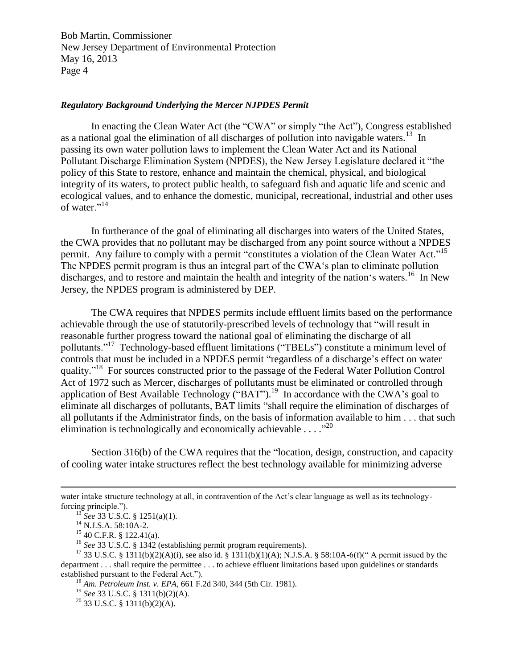#### *Regulatory Background Underlying the Mercer NJPDES Permit*

In enacting the Clean Water Act (the "CWA" or simply "the Act"), Congress established as a national goal the elimination of all discharges of pollution into navigable waters.<sup>13</sup> In passing its own water pollution laws to implement the Clean Water Act and its National Pollutant Discharge Elimination System (NPDES), the New Jersey Legislature declared it "the policy of this State to restore, enhance and maintain the chemical, physical, and biological integrity of its waters, to protect public health, to safeguard fish and aquatic life and scenic and ecological values, and to enhance the domestic, municipal, recreational, industrial and other uses of water."<sup>14</sup>

In furtherance of the goal of eliminating all discharges into waters of the United States, the CWA provides that no pollutant may be discharged from any point source without a NPDES permit. Any failure to comply with a permit "constitutes a violation of the Clean Water Act."<sup>15</sup> The NPDES permit program is thus an integral part of the CWA's plan to eliminate pollution discharges, and to restore and maintain the health and integrity of the nation's waters.<sup>16</sup> In New Jersey, the NPDES program is administered by DEP.

The CWA requires that NPDES permits include effluent limits based on the performance achievable through the use of statutorily-prescribed levels of technology that "will result in reasonable further progress toward the national goal of eliminating the discharge of all pollutants."<sup>17</sup> Technology-based effluent limitations ("TBELs") constitute a minimum level of controls that must be included in a NPDES permit "regardless of a discharge's effect on water quality." <sup>18</sup> For sources constructed prior to the passage of the Federal Water Pollution Control Act of 1972 such as Mercer, discharges of pollutants must be eliminated or controlled through application of Best Available Technology ("BAT").<sup>19</sup> In accordance with the CWA's goal to eliminate all discharges of pollutants, BAT limits "shall require the elimination of discharges of all pollutants if the Administrator finds, on the basis of information available to him . . . that such elimination is technologically and economically achievable  $\dots$ ."<sup>20</sup>

Section 316(b) of the CWA requires that the "location, design, construction, and capacity of cooling water intake structures reflect the best technology available for minimizing adverse

water intake structure technology at all, in contravention of the Act's clear language as well as its technologyforcing principle.").

<sup>13</sup> *See* 33 U.S.C. § 1251(a)(1).

 $^{14}$  N.J.S.A. 58:10A-2.

<sup>15</sup> 40 C.F.R. § 122.41(a).

<sup>16</sup> *See* 33 U.S.C. § 1342 (establishing permit program requirements).

<sup>&</sup>lt;sup>17</sup> 33 U.S.C. § 1311(b)(2)(A)(i), see also id. § 1311(b)(1)(A); N.J.S.A. § 58:10A-6(f)(" A permit issued by the department . . . shall require the permittee . . . to achieve effluent limitations based upon guidelines or standards established pursuant to the Federal Act.").

<sup>18</sup> *Am. Petroleum Inst. v. EPA*, 661 F.2d 340, 344 (5th Cir. 1981).

<sup>19</sup> *See* 33 U.S.C. § 1311(b)(2)(A).

 $20$  33 U.S.C. § 1311(b)(2)(A).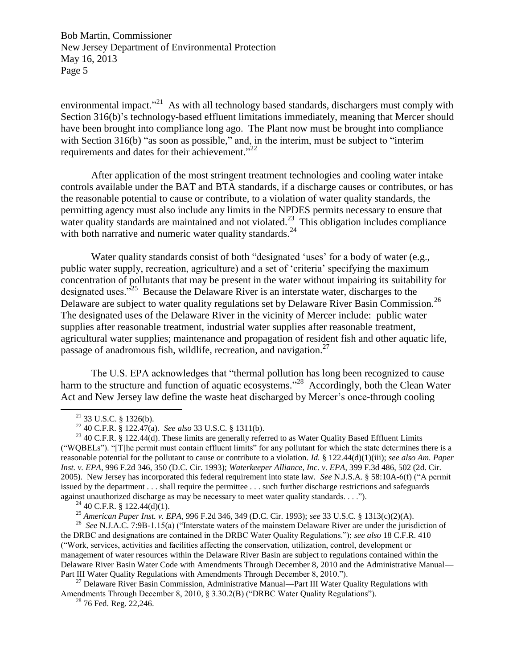environmental impact.<sup>"21</sup> As with all technology based standards, dischargers must comply with Section 316(b)'s technology-based effluent limitations immediately, meaning that Mercer should have been brought into compliance long ago. The Plant now must be brought into compliance with Section 316(b) "as soon as possible," and, in the interim, must be subject to "interim requirements and dates for their achievement."<sup>22</sup>

After application of the most stringent treatment technologies and cooling water intake controls available under the BAT and BTA standards, if a discharge causes or contributes, or has the reasonable potential to cause or contribute, to a violation of water quality standards, the permitting agency must also include any limits in the NPDES permits necessary to ensure that water quality standards are maintained and not violated.<sup>23</sup> This obligation includes compliance with both narrative and numeric water quality standards. $^{24}$ 

Water quality standards consist of both "designated 'uses' for a body of water (e.g., public water supply, recreation, agriculture) and a set of 'criteria' specifying the maximum concentration of pollutants that may be present in the water without impairing its suitability for designated uses."<sup>25</sup> Because the Delaware River is an interstate water, discharges to the Delaware are subject to water quality regulations set by Delaware River Basin Commission.<sup>26</sup> The designated uses of the Delaware River in the vicinity of Mercer include: public water supplies after reasonable treatment, industrial water supplies after reasonable treatment, agricultural water supplies; maintenance and propagation of resident fish and other aquatic life, passage of anadromous fish, wildlife, recreation, and navigation.<sup>27</sup>

The U.S. EPA acknowledges that "thermal pollution has long been recognized to cause harm to the structure and function of aquatic ecosystems."<sup>28</sup> Accordingly, both the Clean Water Act and New Jersey law define the waste heat discharged by Mercer's once-through cooling

 $\overline{a}$ 

 $^{24}$  40 C.F.R. § 122.44(d)(1).

<sup>27</sup> Delaware River Basin Commission, Administrative Manual—Part III Water Quality Regulations with Amendments Through December 8, 2010, § 3.30.2(B) ("DRBC Water Quality Regulations").

 $2876$  Fed. Reg. 22,246.

 $21$  33 U.S.C. § 1326(b).

<sup>22</sup> 40 C.F.R. § 122.47(a). *See also* 33 U.S.C. § 1311(b).

 $23$  40 C.F.R. § 122.44(d). These limits are generally referred to as Water Quality Based Effluent Limits ("WQBELs"). "[T]he permit must contain effluent limits" for any pollutant for which the state determines there is a reasonable potential for the pollutant to cause or contribute to a violation. *Id.* § 122.44(d)(1)(iii); *see also Am. Paper Inst. v. EPA*, 996 F.2d 346, 350 (D.C. Cir. 1993); *Waterkeeper Alliance, Inc. v. EPA*, 399 F.3d 486, 502 (2d. Cir. 2005). New Jersey has incorporated this federal requirement into state law. *See* N.J.S.A. § 58:10A-6(f) ("A permit issued by the department . . . shall require the permittee . . . such further discharge restrictions and safeguards against unauthorized discharge as may be necessary to meet water quality standards. . . .").

<sup>25</sup> *American Paper Inst. v. EPA*, 996 F.2d 346, 349 (D.C. Cir. 1993); *see* 33 U.S.C. § 1313(c)(2)(A).

<sup>26</sup> *See* N.J.A.C. 7:9B-1.15(a) ("Interstate waters of the mainstem Delaware River are under the jurisdiction of the DRBC and designations are contained in the DRBC Water Quality Regulations."); *see also* 18 C.F.R. 410 ("Work, services, activities and facilities affecting the conservation, utilization, control, development or management of water resources within the Delaware River Basin are subject to regulations contained within the Delaware River Basin Water Code with Amendments Through December 8, 2010 and the Administrative Manual— Part III Water Quality Regulations with Amendments Through December 8, 2010.").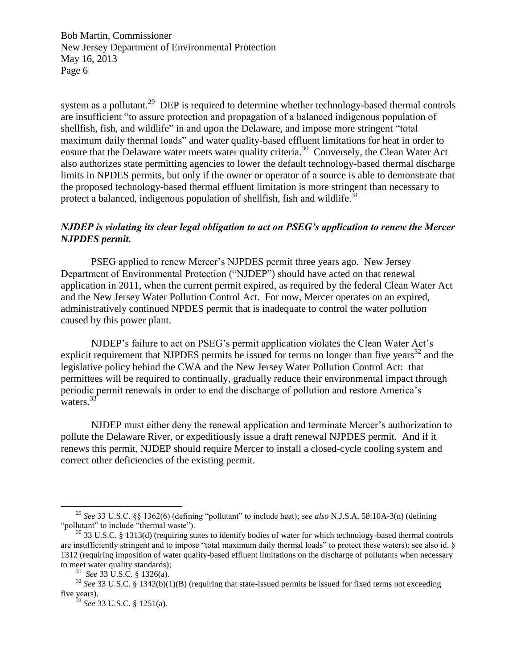system as a pollutant.<sup>29</sup> DEP is required to determine whether technology-based thermal controls are insufficient "to assure protection and propagation of a balanced indigenous population of shellfish, fish, and wildlife" in and upon the Delaware, and impose more stringent "total maximum daily thermal loads" and water quality-based effluent limitations for heat in order to ensure that the Delaware water meets water quality criteria.<sup>30</sup> Conversely, the Clean Water Act also authorizes state permitting agencies to lower the default technology-based thermal discharge limits in NPDES permits, but only if the owner or operator of a source is able to demonstrate that the proposed technology-based thermal effluent limitation is more stringent than necessary to protect a balanced, indigenous population of shellfish, fish and wildlife.<sup>31</sup>

# *NJDEP is violating its clear legal obligation to act on PSEG's application to renew the Mercer NJPDES permit.*

PSEG applied to renew Mercer's NJPDES permit three years ago. New Jersey Department of Environmental Protection ("NJDEP") should have acted on that renewal application in 2011, when the current permit expired, as required by the federal Clean Water Act and the New Jersey Water Pollution Control Act. For now, Mercer operates on an expired, administratively continued NPDES permit that is inadequate to control the water pollution caused by this power plant.

NJDEP's failure to act on PSEG's permit application violates the Clean Water Act's explicit requirement that NJPDES permits be issued for terms no longer than five years<sup>32</sup> and the legislative policy behind the CWA and the New Jersey Water Pollution Control Act: that permittees will be required to continually, gradually reduce their environmental impact through periodic permit renewals in order to end the discharge of pollution and restore America's waters. $33$ <sup>3</sup>

NJDEP must either deny the renewal application and terminate Mercer's authorization to pollute the Delaware River, or expeditiously issue a draft renewal NJPDES permit. And if it renews this permit, NJDEP should require Mercer to install a closed-cycle cooling system and correct other deficiencies of the existing permit.

 $\overline{\phantom{a}}$ 

<sup>29</sup> *See* 33 U.S.C. §§ 1362(6) (defining "pollutant" to include heat); *see also* N.J.S.A. 58:10A-3(n) (defining "pollutant" to include "thermal waste").

 $30$  33 U.S.C. § 1313(d) (requiring states to identify bodies of water for which technology-based thermal controls are insufficiently stringent and to impose "total maximum daily thermal loads" to protect these waters); see also id. § 1312 (requiring imposition of water quality-based effluent limitations on the discharge of pollutants when necessary to meet water quality standards);

<sup>31</sup> *See* 33 U.S.C. § 1326(a).

<sup>&</sup>lt;sup>32</sup> *See* 33 U.S.C. § 1342(b)(1)(B) (requiring that state-issued permits be issued for fixed terms not exceeding five years).

<sup>33</sup> *See* 33 U.S.C. § 1251(a).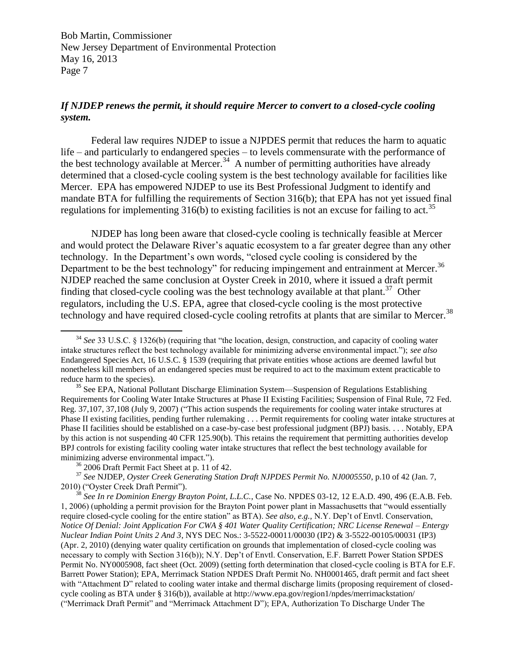# *If NJDEP renews the permit, it should require Mercer to convert to a closed-cycle cooling system.*

Federal law requires NJDEP to issue a NJPDES permit that reduces the harm to aquatic life – and particularly to endangered species – to levels commensurate with the performance of the best technology available at Mercer.<sup>34</sup> A number of permitting authorities have already determined that a closed-cycle cooling system is the best technology available for facilities like Mercer. EPA has empowered NJDEP to use its Best Professional Judgment to identify and mandate BTA for fulfilling the requirements of Section 316(b); that EPA has not yet issued final regulations for implementing  $316(b)$  to existing facilities is not an excuse for failing to act.<sup>35</sup>

NJDEP has long been aware that closed-cycle cooling is technically feasible at Mercer and would protect the Delaware River's aquatic ecosystem to a far greater degree than any other technology. In the Department's own words, "closed cycle cooling is considered by the Department to be the best technology" for reducing impingement and entrainment at Mercer.<sup>36</sup> NJDEP reached the same conclusion at Oyster Creek in 2010, where it issued a draft permit finding that closed-cycle cooling was the best technology available at that plant.<sup>37</sup> Other regulators, including the U.S. EPA, agree that closed-cycle cooling is the most protective technology and have required closed-cycle cooling retrofits at plants that are similar to Mercer.<sup>38</sup>

 $\overline{\phantom{a}}$ 

<sup>38</sup> *See In re Dominion Energy Brayton Point, L.L.C.*, Case No. NPDES 03-12, 12 E.A.D. 490, 496 (E.A.B. Feb. 1, 2006) (upholding a permit provision for the Brayton Point power plant in Massachusetts that "would essentially require closed-cycle cooling for the entire station" as BTA). *See also, e.g.,* N.Y. Dep't of Envtl. Conservation, *Notice Of Denial: Joint Application For CWA § 401 Water Quality Certification; NRC License Renewal – Entergy Nuclear Indian Point Units 2 And 3*, NYS DEC Nos.: 3-5522-00011/00030 (IP2) & 3-5522-00105/00031 (IP3) (Apr. 2, 2010) (denying water quality certification on grounds that implementation of closed-cycle cooling was necessary to comply with Section 316(b)); N.Y. Dep't of Envtl. Conservation, E.F. Barrett Power Station SPDES Permit No. NY0005908, fact sheet (Oct. 2009) (setting forth determination that closed-cycle cooling is BTA for E.F. Barrett Power Station); EPA, Merrimack Station NPDES Draft Permit No. NH0001465, draft permit and fact sheet with "Attachment D" related to cooling water intake and thermal discharge limits (proposing requirement of closedcycle cooling as BTA under § 316(b)), available at http://www.epa.gov/region1/npdes/merrimackstation/ ("Merrimack Draft Permit" and "Merrimack Attachment D"); EPA, Authorization To Discharge Under The

<sup>34</sup> *See* 33 U.S.C. § 1326(b) (requiring that "the location, design, construction, and capacity of cooling water intake structures reflect the best technology available for minimizing adverse environmental impact."); *see also* Endangered Species Act, 16 U.S.C. § 1539 (requiring that private entities whose actions are deemed lawful but nonetheless kill members of an endangered species must be required to act to the maximum extent practicable to reduce harm to the species).

<sup>&</sup>lt;sup>35</sup> See EPA, National Pollutant Discharge Elimination System—Suspension of Regulations Establishing Requirements for Cooling Water Intake Structures at Phase II Existing Facilities; Suspension of Final Rule, 72 Fed. Reg. 37,107, 37,108 (July 9, 2007) ("This action suspends the requirements for cooling water intake structures at Phase II existing facilities, pending further rulemaking . . . Permit requirements for cooling water intake structures at Phase II facilities should be established on a case-by-case best professional judgment (BPJ) basis. . . . Notably, EPA by this action is not suspending 40 CFR 125.90(b). This retains the requirement that permitting authorities develop BPJ controls for existing facility cooling water intake structures that reflect the best technology available for minimizing adverse environmental impact.").

 $36$  2006 Draft Permit Fact Sheet at p. 11 of 42.

<sup>37</sup> *See* NJDEP*, Oyster Creek Generating Station Draft NJPDES Permit No. NJ0005550*, p.10 of 42 (Jan. 7, 2010) ("Oyster Creek Draft Permit").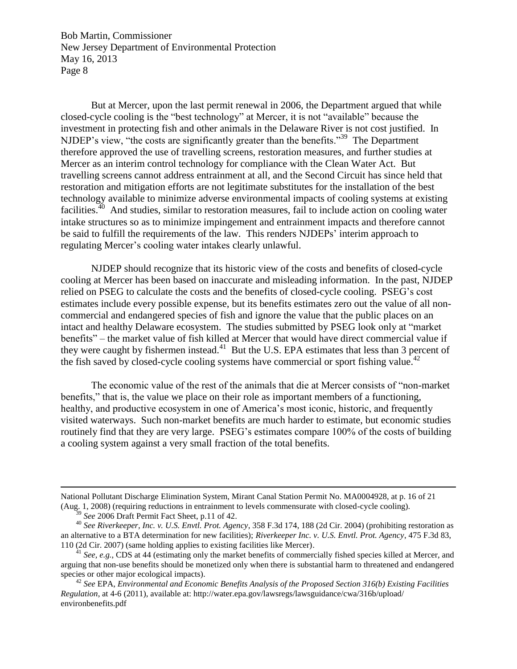But at Mercer, upon the last permit renewal in 2006, the Department argued that while closed-cycle cooling is the "best technology" at Mercer, it is not "available" because the investment in protecting fish and other animals in the Delaware River is not cost justified. In NJDEP's view, "the costs are significantly greater than the benefits."<sup>39</sup> The Department therefore approved the use of travelling screens, restoration measures, and further studies at Mercer as an interim control technology for compliance with the Clean Water Act. But travelling screens cannot address entrainment at all, and the Second Circuit has since held that restoration and mitigation efforts are not legitimate substitutes for the installation of the best technology available to minimize adverse environmental impacts of cooling systems at existing facilities.<sup>40</sup> And studies, similar to restoration measures, fail to include action on cooling water intake structures so as to minimize impingement and entrainment impacts and therefore cannot be said to fulfill the requirements of the law. This renders NJDEPs' interim approach to regulating Mercer's cooling water intakes clearly unlawful.

NJDEP should recognize that its historic view of the costs and benefits of closed-cycle cooling at Mercer has been based on inaccurate and misleading information. In the past, NJDEP relied on PSEG to calculate the costs and the benefits of closed-cycle cooling. PSEG's cost estimates include every possible expense, but its benefits estimates zero out the value of all noncommercial and endangered species of fish and ignore the value that the public places on an intact and healthy Delaware ecosystem. The studies submitted by PSEG look only at "market benefits" – the market value of fish killed at Mercer that would have direct commercial value if they were caught by fishermen instead.<sup>41</sup> But the U.S. EPA estimates that less than 3 percent of the fish saved by closed-cycle cooling systems have commercial or sport fishing value.<sup>42</sup>

The economic value of the rest of the animals that die at Mercer consists of "non-market benefits," that is, the value we place on their role as important members of a functioning, healthy, and productive ecosystem in one of America's most iconic, historic, and frequently visited waterways. Such non-market benefits are much harder to estimate, but economic studies routinely find that they are very large. PSEG's estimates compare 100% of the costs of building a cooling system against a very small fraction of the total benefits.

National Pollutant Discharge Elimination System, Mirant Canal Station Permit No. MA0004928, at p. 16 of 21 (Aug. 1, 2008) (requiring reductions in entrainment to levels commensurate with closed-cycle cooling).

<sup>39</sup> *See* 2006 Draft Permit Fact Sheet, p.11 of 42.

<sup>40</sup> *See Riverkeeper, Inc. v. U.S. Envtl. Prot. Agency*, 358 F.3d 174, 188 (2d Cir. 2004) (prohibiting restoration as an alternative to a BTA determination for new facilities); *Riverkeeper Inc. v. U.S. Envtl. Prot. Agency*, 475 F.3d 83, 110 (2d Cir. 2007) (same holding applies to existing facilities like Mercer).

<sup>&</sup>lt;sup>41</sup> *See, e.g.*, CDS at 44 (estimating only the market benefits of commercially fished species killed at Mercer, and arguing that non-use benefits should be monetized only when there is substantial harm to threatened and endangered species or other major ecological impacts).

<sup>42</sup> *See* EPA, *Environmental and Economic Benefits Analysis of the Proposed Section 316(b) Existing Facilities Regulation*, at 4-6 (2011), available at: http://water.epa.gov/lawsregs/lawsguidance/cwa/316b/upload/ environbenefits.pdf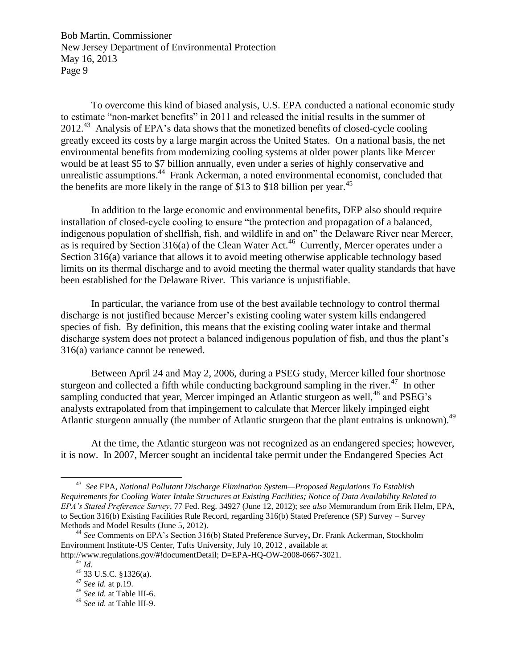To overcome this kind of biased analysis, U.S. EPA conducted a national economic study to estimate "non-market benefits" in 2011 and released the initial results in the summer of  $2012<sup>43</sup>$  Analysis of EPA's data shows that the monetized benefits of closed-cycle cooling greatly exceed its costs by a large margin across the United States. On a national basis, the net environmental benefits from modernizing cooling systems at older power plants like Mercer would be at least \$5 to \$7 billion annually, even under a series of highly conservative and unrealistic assumptions.<sup>44</sup> Frank Ackerman, a noted environmental economist, concluded that the benefits are more likely in the range of \$13 to \$18 billion per year. 45

In addition to the large economic and environmental benefits, DEP also should require installation of closed-cycle cooling to ensure "the protection and propagation of a balanced, indigenous population of shellfish, fish, and wildlife in and on" the Delaware River near Mercer, as is required by Section 316(a) of the Clean Water Act.<sup>46</sup> Currently, Mercer operates under a Section 316(a) variance that allows it to avoid meeting otherwise applicable technology based limits on its thermal discharge and to avoid meeting the thermal water quality standards that have been established for the Delaware River. This variance is unjustifiable.

In particular, the variance from use of the best available technology to control thermal discharge is not justified because Mercer's existing cooling water system kills endangered species of fish. By definition, this means that the existing cooling water intake and thermal discharge system does not protect a balanced indigenous population of fish, and thus the plant's 316(a) variance cannot be renewed.

Between April 24 and May 2, 2006, during a PSEG study, Mercer killed four shortnose sturgeon and collected a fifth while conducting background sampling in the river. $47$  In other sampling conducted that year, Mercer impinged an Atlantic sturgeon as well,<sup>48</sup> and PSEG's analysts extrapolated from that impingement to calculate that Mercer likely impinged eight Atlantic sturgeon annually (the number of Atlantic sturgeon that the plant entrains is unknown).<sup>49</sup>

At the time, the Atlantic sturgeon was not recognized as an endangered species; however, it is now. In 2007, Mercer sought an incidental take permit under the Endangered Species Act

 $\overline{\phantom{a}}$ 

<sup>43</sup> *See* EPA, *National Pollutant Discharge Elimination System—Proposed Regulations To Establish Requirements for Cooling Water Intake Structures at Existing Facilities; Notice of Data Availability Related to EPA's Stated Preference Survey*, 77 Fed. Reg. 34927 (June 12, 2012); *see also* Memorandum from Erik Helm, EPA, to Section 316(b) Existing Facilities Rule Record, regarding 316(b) Stated Preference (SP) Survey – Survey Methods and Model Results (June 5, 2012).

<sup>44</sup> *See* Comments on EPA's Section 316(b) Stated Preference Survey**,** Dr. Frank Ackerman, Stockholm Environment Institute-US Center, Tufts University, July 10, 2012 , available at

http://www.regulations.gov/#!documentDetail; D=EPA-HQ-OW-2008-0667-3021.

<sup>45</sup> *Id*.

<sup>46</sup> 33 U.S.C. §1326(a).

<sup>47</sup> *See id.* at p.19.

<sup>48</sup> *See id.* at Table III-6.

<sup>49</sup> *See id.* at Table III-9.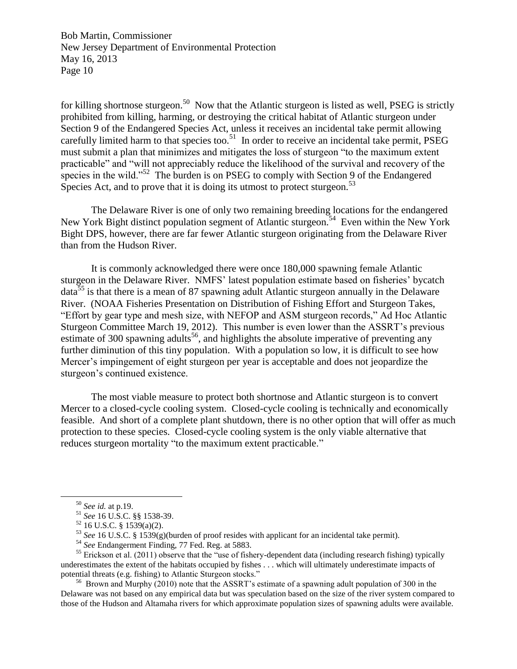for killing shortnose sturgeon.<sup>50</sup> Now that the Atlantic sturgeon is listed as well, PSEG is strictly prohibited from killing, harming, or destroying the critical habitat of Atlantic sturgeon under Section 9 of the Endangered Species Act, unless it receives an incidental take permit allowing carefully limited harm to that species too.<sup>51</sup> In order to receive an incidental take permit, PSEG must submit a plan that minimizes and mitigates the loss of sturgeon "to the maximum extent practicable" and "will not appreciably reduce the likelihood of the survival and recovery of the species in the wild."<sup>52</sup> The burden is on PSEG to comply with Section 9 of the Endangered Species Act, and to prove that it is doing its utmost to protect sturgeon.<sup>53</sup>

The Delaware River is one of only two remaining breeding locations for the endangered New York Bight distinct population segment of Atlantic sturgeon.<sup>54</sup> Even within the New York Bight DPS, however, there are far fewer Atlantic sturgeon originating from the Delaware River than from the Hudson River.

It is commonly acknowledged there were once 180,000 spawning female Atlantic sturgeon in the Delaware River. NMFS' latest population estimate based on fisheries' bycatch  $data^{55}$  is that there is a mean of 87 spawning adult Atlantic sturgeon annually in the Delaware River. (NOAA Fisheries Presentation on Distribution of Fishing Effort and Sturgeon Takes, "Effort by gear type and mesh size, with NEFOP and ASM sturgeon records," Ad Hoc Atlantic Sturgeon Committee March 19, 2012). This number is even lower than the ASSRT's previous estimate of 300 spawning adults<sup>56</sup>, and highlights the absolute imperative of preventing any further diminution of this tiny population. With a population so low, it is difficult to see how Mercer's impingement of eight sturgeon per year is acceptable and does not jeopardize the sturgeon's continued existence.

The most viable measure to protect both shortnose and Atlantic sturgeon is to convert Mercer to a closed-cycle cooling system. Closed-cycle cooling is technically and economically feasible. And short of a complete plant shutdown, there is no other option that will offer as much protection to these species. Closed-cycle cooling system is the only viable alternative that reduces sturgeon mortality "to the maximum extent practicable."

 $\overline{\phantom{a}}$ 

<sup>56</sup> Brown and Murphy (2010) note that the ASSRT's estimate of a spawning adult population of 300 in the Delaware was not based on any empirical data but was speculation based on the size of the river system compared to those of the Hudson and Altamaha rivers for which approximate population sizes of spawning adults were available.

<sup>50</sup> *See id.* at p.19.

<sup>51</sup> *See* 16 U.S.C. §§ 1538-39.

 $52$  16 U.S.C. § 1539(a)(2).

<sup>&</sup>lt;sup>53</sup> *See* 16 U.S.C. § 1539(g)(burden of proof resides with applicant for an incidental take permit).

<sup>54</sup> *See* Endangerment Finding, 77 Fed. Reg. at 5883.

 $55$  Erickson et al. (2011) observe that the "use of fishery-dependent data (including research fishing) typically underestimates the extent of the habitats occupied by fishes . . . which will ultimately underestimate impacts of potential threats (e.g. fishing) to Atlantic Sturgeon stocks."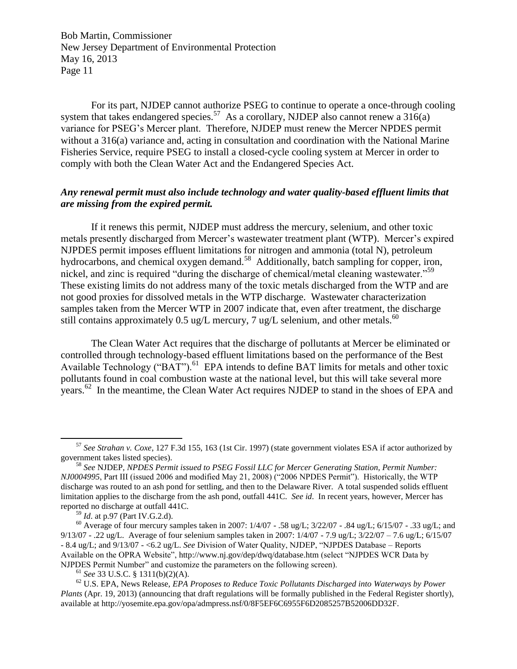For its part, NJDEP cannot authorize PSEG to continue to operate a once-through cooling system that takes endangered species.<sup>57</sup> As a corollary, NJDEP also cannot renew a  $316(a)$ variance for PSEG's Mercer plant. Therefore, NJDEP must renew the Mercer NPDES permit without a 316(a) variance and, acting in consultation and coordination with the National Marine Fisheries Service, require PSEG to install a closed-cycle cooling system at Mercer in order to comply with both the Clean Water Act and the Endangered Species Act.

# *Any renewal permit must also include technology and water quality-based effluent limits that are missing from the expired permit.*

If it renews this permit, NJDEP must address the mercury, selenium, and other toxic metals presently discharged from Mercer's wastewater treatment plant (WTP). Mercer's expired NJPDES permit imposes effluent limitations for nitrogen and ammonia (total N), petroleum hydrocarbons, and chemical oxygen demand.<sup>58</sup> Additionally, batch sampling for copper, iron, nickel, and zinc is required "during the discharge of chemical/metal cleaning wastewater."<sup>59</sup> These existing limits do not address many of the toxic metals discharged from the WTP and are not good proxies for dissolved metals in the WTP discharge. Wastewater characterization samples taken from the Mercer WTP in 2007 indicate that, even after treatment, the discharge still contains approximately 0.5 ug/L mercury, 7 ug/L selenium, and other metals.<sup>60</sup>

The Clean Water Act requires that the discharge of pollutants at Mercer be eliminated or controlled through technology-based effluent limitations based on the performance of the Best Available Technology ("BAT").<sup>61</sup> EPA intends to define BAT limits for metals and other toxic pollutants found in coal combustion waste at the national level, but this will take several more years.<sup>62</sup> In the meantime, the Clean Water Act requires NJDEP to stand in the shoes of EPA and

 $\overline{\phantom{a}}$ 

<sup>57</sup> *See Strahan v. Coxe*, 127 F.3d 155, 163 (1st Cir. 1997) (state government violates ESA if actor authorized by government takes listed species).

<sup>58</sup> *See* NJDEP, *NPDES Permit issued to PSEG Fossil LLC for Mercer Generating Station, Permit Number: NJ0004995*, Part III (issued 2006 and modified May 21, 2008) ("2006 NPDES Permit"). Historically, the WTP discharge was routed to an ash pond for settling, and then to the Delaware River. A total suspended solids effluent limitation applies to the discharge from the ash pond, outfall 441C. *See id*. In recent years, however, Mercer has reported no discharge at outfall 441C.

<sup>59</sup> *Id*. at p.97 (Part IV.G.2.d).

<sup>&</sup>lt;sup>60</sup> Average of four mercury samples taken in 2007:  $1/4/07 - .58$  ug/L;  $3/22/07 - .84$  ug/L;  $6/15/07 - .33$  ug/L; and 9/13/07 - .22 ug/L. Average of four selenium samples taken in 2007: 1/4/07 - 7.9 ug/L; 3/22/07 – 7.6 ug/L; 6/15/07 - 8.4 ug/L; and 9/13/07 - <6.2 ug/L. *See* Division of Water Quality, NJDEP, "NJPDES Database – Reports Available on the OPRA Website", http://www.nj.gov/dep/dwq/database.htm (select "NJPDES WCR Data by NJPDES Permit Number" and customize the parameters on the following screen).

<sup>61</sup> *See* 33 U.S.C. § 1311(b)(2)(A).

<sup>62</sup> U.S. EPA, News Release, *EPA Proposes to Reduce Toxic Pollutants Discharged into Waterways by Power Plants* (Apr. 19, 2013) (announcing that draft regulations will be formally published in the Federal Register shortly), available at http://yosemite.epa.gov/opa/admpress.nsf/0/8F5EF6C6955F6D2085257B52006DD32F.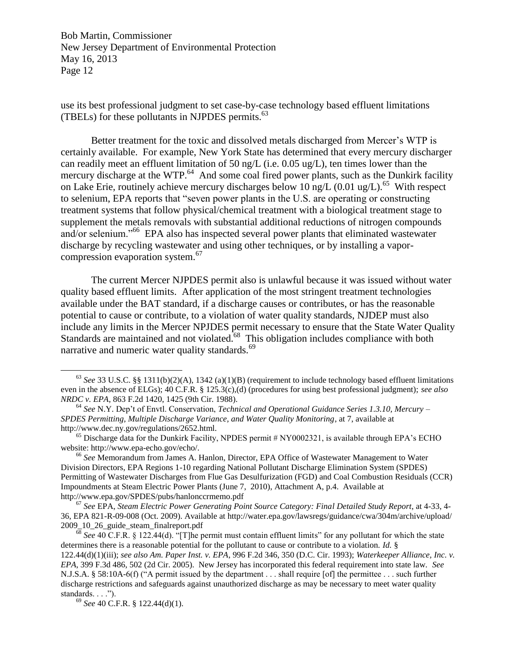use its best professional judgment to set case-by-case technology based effluent limitations (TBELs) for these pollutants in NJPDES permits.<sup>63</sup>

Better treatment for the toxic and dissolved metals discharged from Mercer's WTP is certainly available. For example, New York State has determined that every mercury discharger can readily meet an effluent limitation of 50 ng/L (i.e. 0.05 ug/L), ten times lower than the mercury discharge at the WTP.<sup>64</sup> And some coal fired power plants, such as the Dunkirk facility on Lake Erie, routinely achieve mercury discharges below 10 ng/L  $(0.01 \text{ ug/L})$ .<sup>65</sup> With respect to selenium, EPA reports that "seven power plants in the U.S. are operating or constructing treatment systems that follow physical/chemical treatment with a biological treatment stage to supplement the metals removals with substantial additional reductions of nitrogen compounds and/or selenium."<sup>66</sup> EPA also has inspected several power plants that eliminated wastewater discharge by recycling wastewater and using other techniques, or by installing a vaporcompression evaporation system.<sup>67</sup>

The current Mercer NJPDES permit also is unlawful because it was issued without water quality based effluent limits. After application of the most stringent treatment technologies available under the BAT standard, if a discharge causes or contributes, or has the reasonable potential to cause or contribute, to a violation of water quality standards, NJDEP must also include any limits in the Mercer NPJDES permit necessary to ensure that the State Water Quality Standards are maintained and not violated. $68$  This obligation includes compliance with both narrative and numeric water quality standards.<sup>69</sup>

<sup>&</sup>lt;sup>63</sup> *See* 33 U.S.C. §§ 1311(b)(2)(A), 1342 (a)(1)(B) (requirement to include technology based effluent limitations even in the absence of ELGs); 40 C.F.R. § 125.3(c),(d) (procedures for using best professional judgment); *see also NRDC v. EPA*, 863 F.2d 1420, 1425 (9th Cir. 1988).

<sup>64</sup> *See* N.Y. Dep't of Envtl. Conservation, *Technical and Operational Guidance Series 1.3.10, Mercury – SPDES Permitting, Multiple Discharge Variance, and Water Quality Monitoring*, at 7, available at http://www.dec.ny.gov/regulations/2652.html.

 $^{65}$  Discharge data for the Dunkirk Facility, NPDES permit # NY0002321, is available through EPA's ECHO website: http://www.epa-echo.gov/echo/.

<sup>66</sup> *See* Memorandum from James A. Hanlon, Director, EPA Office of Wastewater Management to Water Division Directors, EPA Regions 1-10 regarding National Pollutant Discharge Elimination System (SPDES) Permitting of Wastewater Discharges from Flue Gas Desulfurization (FGD) and Coal Combustion Residuals (CCR) Impoundments at Steam Electric Power Plants (June 7, 2010), Attachment A, p.4. Available at http://www.epa.gov/SPDES/pubs/hanlonccrmemo.pdf

<sup>67</sup> *See* EPA, *Steam Electric Power Generating Point Source Category: Final Detailed Study Report*, at 4-33, 4- 36, EPA 821-R-09-008 (Oct. 2009). Available at http://water.epa.gov/lawsregs/guidance/cwa/304m/archive/upload/ 2009\_10\_26\_guide\_steam\_finalreport.pdf

 $\overline{68}$  *See* 40 C.F.R. § 122.44(d).  $\overline{C}$  [T]he permit must contain effluent limits" for any pollutant for which the state determines there is a reasonable potential for the pollutant to cause or contribute to a violation. *Id.* § 122.44(d)(1)(iii); *see also Am. Paper Inst. v. EPA*, 996 F.2d 346, 350 (D.C. Cir. 1993); *Waterkeeper Alliance, Inc. v. EPA*, 399 F.3d 486, 502 (2d Cir. 2005). New Jersey has incorporated this federal requirement into state law. *See*  N.J.S.A. § 58:10A-6(f) ("A permit issued by the department . . . shall require [of] the permittee . . . such further discharge restrictions and safeguards against unauthorized discharge as may be necessary to meet water quality standards.  $\ldots$ .").

<sup>69</sup> *See* 40 C.F.R. § 122.44(d)(1).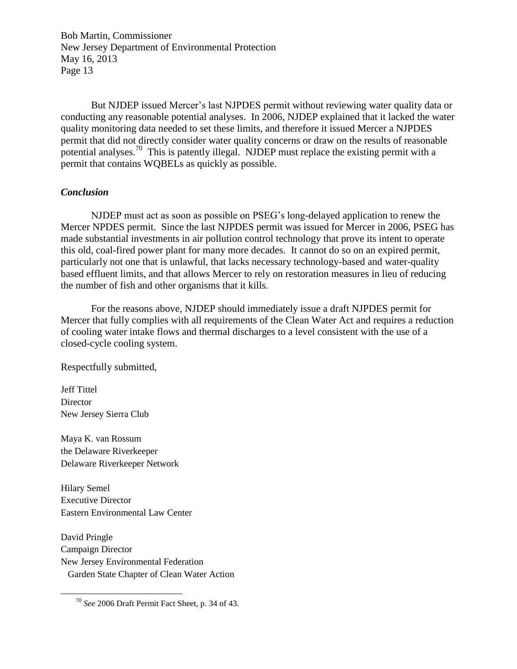But NJDEP issued Mercer's last NJPDES permit without reviewing water quality data or conducting any reasonable potential analyses. In 2006, NJDEP explained that it lacked the water quality monitoring data needed to set these limits, and therefore it issued Mercer a NJPDES permit that did not directly consider water quality concerns or draw on the results of reasonable potential analyses.<sup>70</sup> This is patently illegal. NJDEP must replace the existing permit with a permit that contains WQBELs as quickly as possible.

## *Conclusion*

NJDEP must act as soon as possible on PSEG's long-delayed application to renew the Mercer NPDES permit. Since the last NJPDES permit was issued for Mercer in 2006, PSEG has made substantial investments in air pollution control technology that prove its intent to operate this old, coal-fired power plant for many more decades. It cannot do so on an expired permit, particularly not one that is unlawful, that lacks necessary technology-based and water-quality based effluent limits, and that allows Mercer to rely on restoration measures in lieu of reducing the number of fish and other organisms that it kills.

For the reasons above, NJDEP should immediately issue a draft NJPDES permit for Mercer that fully complies with all requirements of the Clean Water Act and requires a reduction of cooling water intake flows and thermal discharges to a level consistent with the use of a closed-cycle cooling system.

Respectfully submitted,

Jeff Tittel **Director** New Jersey Sierra Club

 $\overline{\phantom{a}}$ 

Maya K. van Rossum the Delaware Riverkeeper Delaware Riverkeeper Network

Hilary Semel Executive Director Eastern Environmental Law Center

David Pringle Campaign Director New Jersey Environmental Federation Garden State Chapter of Clean Water Action

<sup>70</sup> *See* 2006 Draft Permit Fact Sheet, p. 34 of 43.